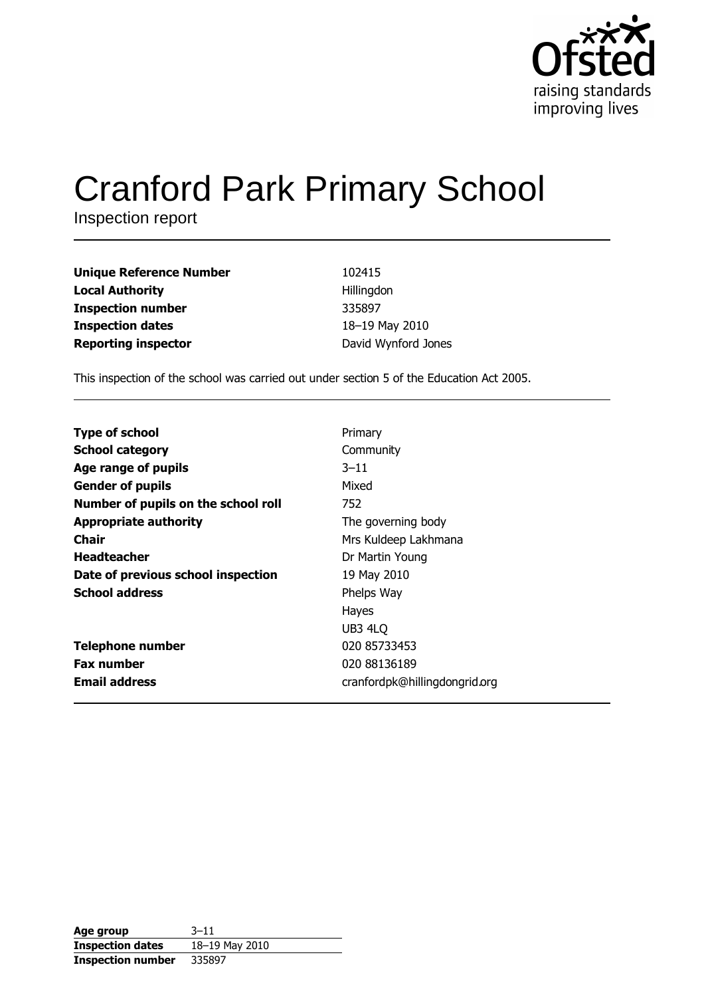

# **Cranford Park Primary School**

Inspection report

| 102415              |
|---------------------|
| Hillingdon          |
| 335897              |
| 18-19 May 2010      |
| David Wynford Jones |
|                     |

This inspection of the school was carried out under section 5 of the Education Act 2005.

| <b>Type of school</b>               | Primary                       |
|-------------------------------------|-------------------------------|
| <b>School category</b>              | Community                     |
| Age range of pupils                 | $3 - 11$                      |
| <b>Gender of pupils</b>             | Mixed                         |
| Number of pupils on the school roll | 752                           |
| <b>Appropriate authority</b>        | The governing body            |
| Chair                               | Mrs Kuldeep Lakhmana          |
| <b>Headteacher</b>                  | Dr Martin Young               |
| Date of previous school inspection  | 19 May 2010                   |
| <b>School address</b>               | Phelps Way                    |
|                                     | Hayes                         |
|                                     | UB3 4LQ                       |
| <b>Telephone number</b>             | 020 85733453                  |
| <b>Fax number</b>                   | 020 88136189                  |
| <b>Email address</b>                | cranfordpk@hillingdongrid.org |
|                                     |                               |

| Age group                | $3 - 11$       |
|--------------------------|----------------|
| <b>Inspection dates</b>  | 18-19 May 2010 |
| <b>Inspection number</b> | 335897         |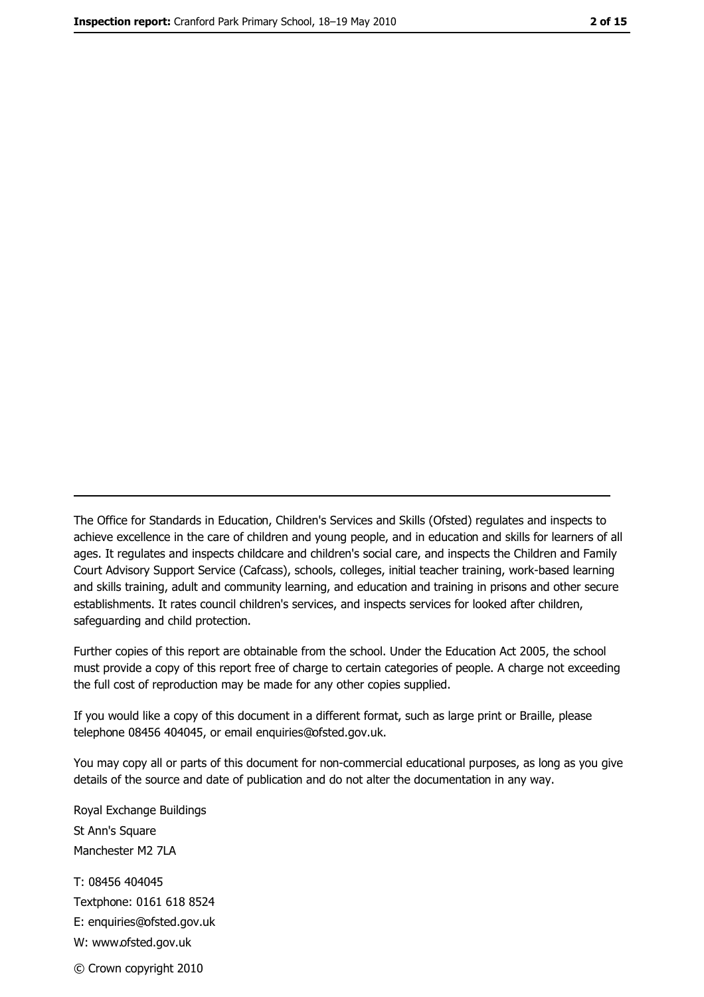The Office for Standards in Education, Children's Services and Skills (Ofsted) regulates and inspects to achieve excellence in the care of children and young people, and in education and skills for learners of all ages. It regulates and inspects childcare and children's social care, and inspects the Children and Family Court Advisory Support Service (Cafcass), schools, colleges, initial teacher training, work-based learning and skills training, adult and community learning, and education and training in prisons and other secure establishments. It rates council children's services, and inspects services for looked after children, safequarding and child protection.

Further copies of this report are obtainable from the school. Under the Education Act 2005, the school must provide a copy of this report free of charge to certain categories of people. A charge not exceeding the full cost of reproduction may be made for any other copies supplied.

If you would like a copy of this document in a different format, such as large print or Braille, please telephone 08456 404045, or email enquiries@ofsted.gov.uk.

You may copy all or parts of this document for non-commercial educational purposes, as long as you give details of the source and date of publication and do not alter the documentation in any way.

Royal Exchange Buildings St Ann's Square Manchester M2 7LA T: 08456 404045 Textphone: 0161 618 8524 E: enquiries@ofsted.gov.uk W: www.ofsted.gov.uk © Crown copyright 2010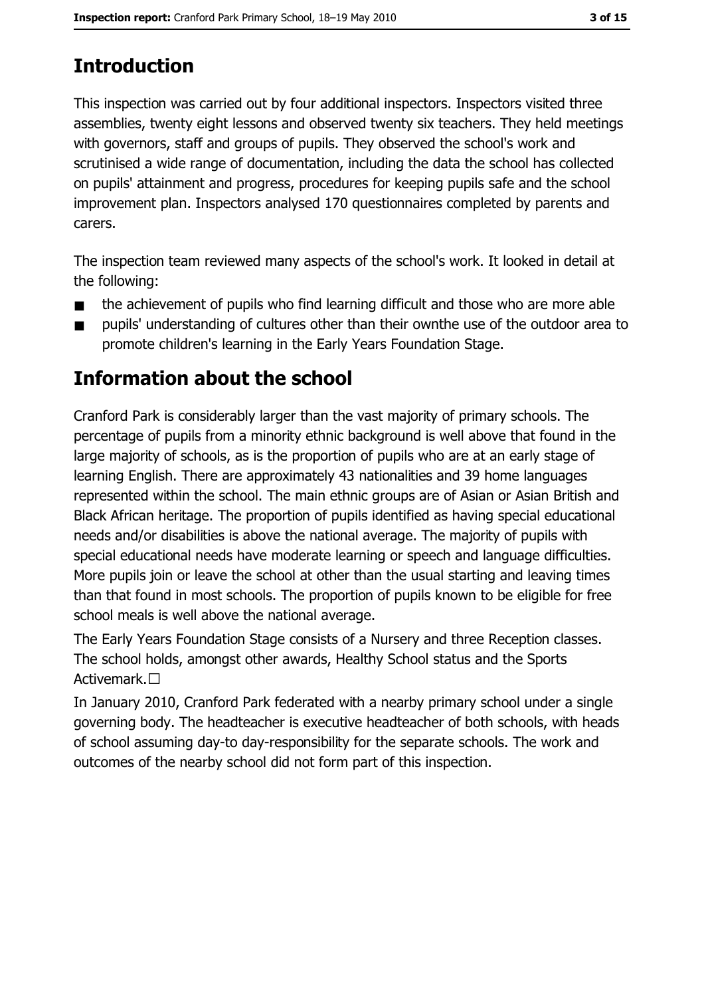# **Introduction**

This inspection was carried out by four additional inspectors. Inspectors visited three assemblies, twenty eight lessons and observed twenty six teachers. They held meetings with governors, staff and groups of pupils. They observed the school's work and scrutinised a wide range of documentation, including the data the school has collected on pupils' attainment and progress, procedures for keeping pupils safe and the school improvement plan. Inspectors analysed 170 questionnaires completed by parents and carers.

The inspection team reviewed many aspects of the school's work. It looked in detail at the following:

- the achievement of pupils who find learning difficult and those who are more able  $\blacksquare$
- pupils' understanding of cultures other than their ownthe use of the outdoor area to  $\blacksquare$ promote children's learning in the Early Years Foundation Stage.

# Information about the school

Cranford Park is considerably larger than the vast majority of primary schools. The percentage of pupils from a minority ethnic background is well above that found in the large majority of schools, as is the proportion of pupils who are at an early stage of learning English. There are approximately 43 nationalities and 39 home languages represented within the school. The main ethnic groups are of Asian or Asian British and Black African heritage. The proportion of pupils identified as having special educational needs and/or disabilities is above the national average. The majority of pupils with special educational needs have moderate learning or speech and language difficulties. More pupils join or leave the school at other than the usual starting and leaving times than that found in most schools. The proportion of pupils known to be eligible for free school meals is well above the national average.

The Early Years Foundation Stage consists of a Nursery and three Reception classes. The school holds, amongst other awards, Healthy School status and the Sports Activemark.□

In January 2010, Cranford Park federated with a nearby primary school under a single governing body. The headteacher is executive headteacher of both schools, with heads of school assuming day-to day-responsibility for the separate schools. The work and outcomes of the nearby school did not form part of this inspection.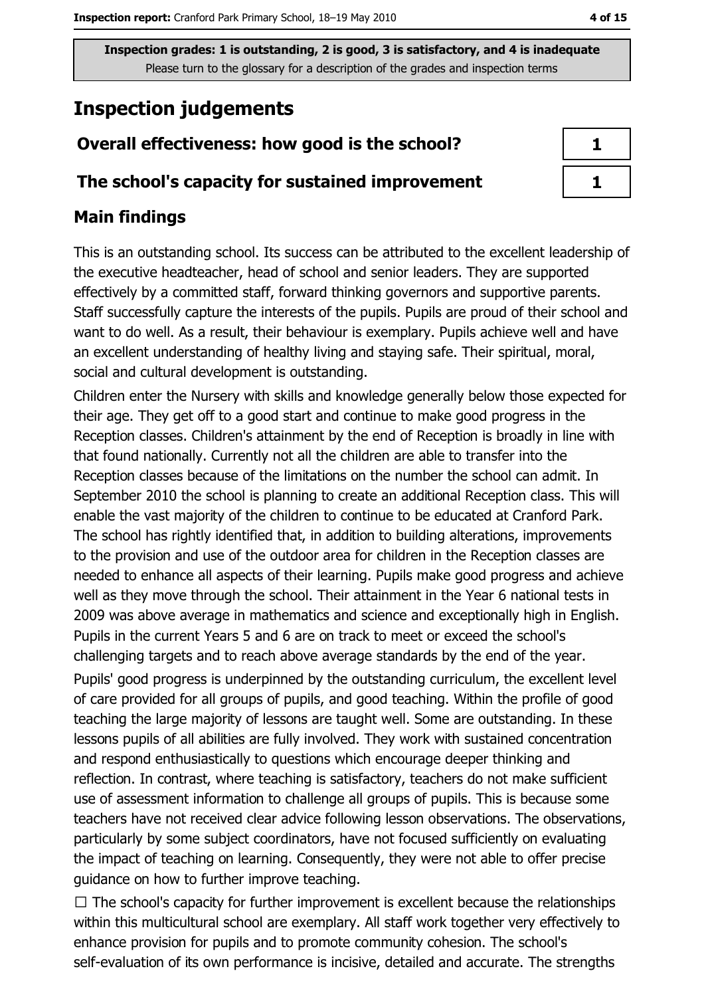# **Inspection judgements**

# Overall effectiveness: how good is the school?

## The school's capacity for sustained improvement

# **Main findings**

This is an outstanding school. Its success can be attributed to the excellent leadership of the executive headteacher, head of school and senior leaders. They are supported effectively by a committed staff, forward thinking governors and supportive parents. Staff successfully capture the interests of the pupils. Pupils are proud of their school and want to do well. As a result, their behaviour is exemplary. Pupils achieve well and have an excellent understanding of healthy living and staying safe. Their spiritual, moral, social and cultural development is outstanding.

Children enter the Nursery with skills and knowledge generally below those expected for their age. They get off to a good start and continue to make good progress in the Reception classes. Children's attainment by the end of Reception is broadly in line with that found nationally. Currently not all the children are able to transfer into the Reception classes because of the limitations on the number the school can admit. In September 2010 the school is planning to create an additional Reception class. This will enable the vast majority of the children to continue to be educated at Cranford Park. The school has rightly identified that, in addition to building alterations, improvements to the provision and use of the outdoor area for children in the Reception classes are needed to enhance all aspects of their learning. Pupils make good progress and achieve well as they move through the school. Their attainment in the Year 6 national tests in 2009 was above average in mathematics and science and exceptionally high in English. Pupils in the current Years 5 and 6 are on track to meet or exceed the school's challenging targets and to reach above average standards by the end of the year.

Pupils' good progress is underpinned by the outstanding curriculum, the excellent level of care provided for all groups of pupils, and good teaching. Within the profile of good teaching the large majority of lessons are taught well. Some are outstanding. In these lessons pupils of all abilities are fully involved. They work with sustained concentration and respond enthusiastically to questions which encourage deeper thinking and reflection. In contrast, where teaching is satisfactory, teachers do not make sufficient use of assessment information to challenge all groups of pupils. This is because some teachers have not received clear advice following lesson observations. The observations, particularly by some subject coordinators, have not focused sufficiently on evaluating the impact of teaching on learning. Consequently, they were not able to offer precise guidance on how to further improve teaching.

 $\Box$  The school's capacity for further improvement is excellent because the relationships within this multicultural school are exemplary. All staff work together very effectively to enhance provision for pupils and to promote community cohesion. The school's self-evaluation of its own performance is incisive, detailed and accurate. The strengths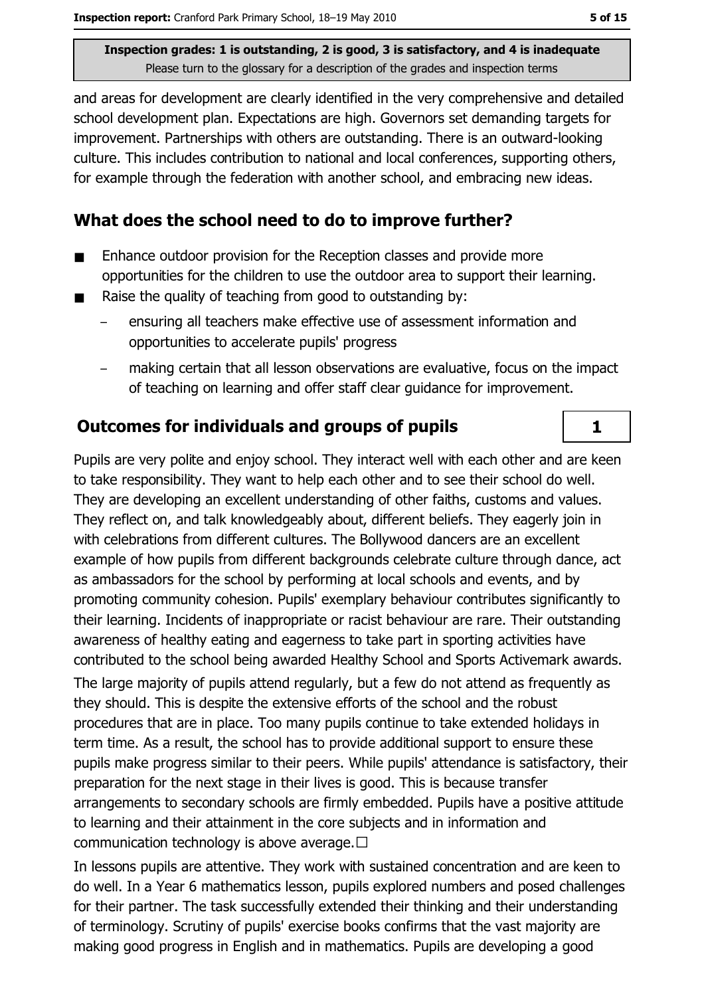and areas for development are clearly identified in the very comprehensive and detailed school development plan. Expectations are high. Governors set demanding targets for improvement. Partnerships with others are outstanding. There is an outward-looking culture. This includes contribution to national and local conferences, supporting others, for example through the federation with another school, and embracing new ideas.

## What does the school need to do to improve further?

- Enhance outdoor provision for the Reception classes and provide more  $\blacksquare$ opportunities for the children to use the outdoor area to support their learning.
- Raise the quality of teaching from good to outstanding by:  $\blacksquare$ 
	- ensuring all teachers make effective use of assessment information and opportunities to accelerate pupils' progress
	- making certain that all lesson observations are evaluative, focus on the impact of teaching on learning and offer staff clear guidance for improvement.

### **Outcomes for individuals and groups of pupils**

Pupils are very polite and enjoy school. They interact well with each other and are keen to take responsibility. They want to help each other and to see their school do well. They are developing an excellent understanding of other faiths, customs and values. They reflect on, and talk knowledgeably about, different beliefs. They eagerly join in with celebrations from different cultures. The Bollywood dancers are an excellent example of how pupils from different backgrounds celebrate culture through dance, act as ambassadors for the school by performing at local schools and events, and by promoting community cohesion. Pupils' exemplary behaviour contributes significantly to their learning. Incidents of inappropriate or racist behaviour are rare. Their outstanding awareness of healthy eating and eagerness to take part in sporting activities have contributed to the school being awarded Healthy School and Sports Activemark awards. The large majority of pupils attend regularly, but a few do not attend as frequently as they should. This is despite the extensive efforts of the school and the robust procedures that are in place. Too many pupils continue to take extended holidays in term time. As a result, the school has to provide additional support to ensure these pupils make progress similar to their peers. While pupils' attendance is satisfactory, their preparation for the next stage in their lives is good. This is because transfer arrangements to secondary schools are firmly embedded. Pupils have a positive attitude to learning and their attainment in the core subjects and in information and communication technology is above average.  $\Box$ 

In lessons pupils are attentive. They work with sustained concentration and are keen to do well. In a Year 6 mathematics lesson, pupils explored numbers and posed challenges for their partner. The task successfully extended their thinking and their understanding of terminology. Scrutiny of pupils' exercise books confirms that the vast majority are making good progress in English and in mathematics. Pupils are developing a good

 $\mathbf{1}$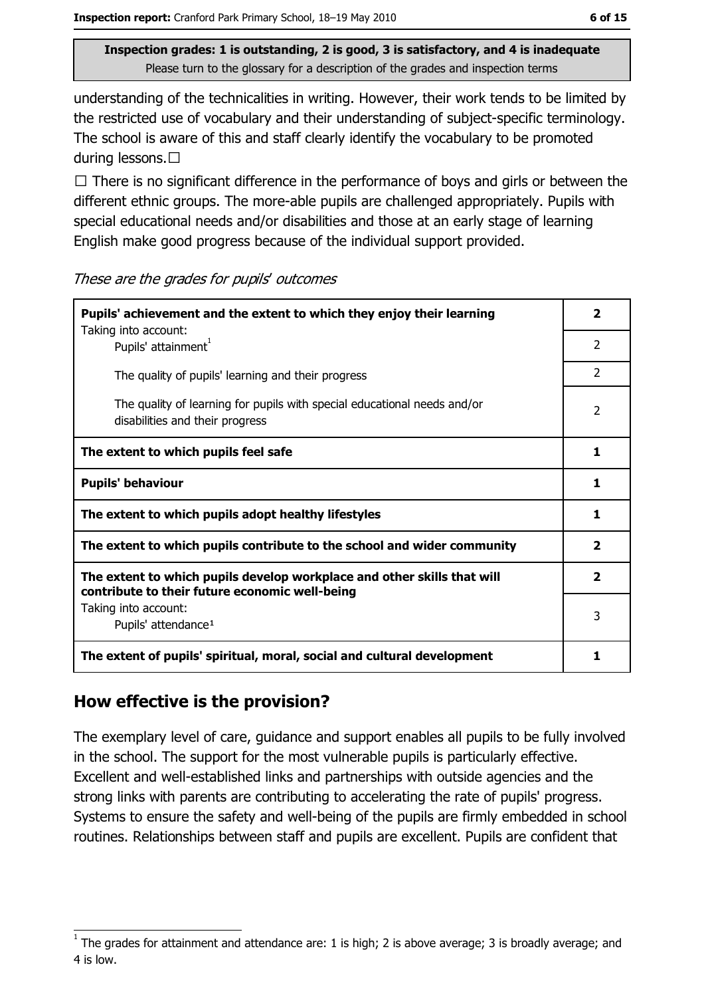understanding of the technicalities in writing. However, their work tends to be limited by the restricted use of vocabulary and their understanding of subject-specific terminology. The school is aware of this and staff clearly identify the vocabulary to be promoted during lessons.  $\Box$ 

 $\Box$  There is no significant difference in the performance of boys and girls or between the different ethnic groups. The more-able pupils are challenged appropriately. Pupils with special educational needs and/or disabilities and those at an early stage of learning English make good progress because of the individual support provided.

These are the grades for pupils' outcomes

| Pupils' achievement and the extent to which they enjoy their learning<br>Taking into account:                             | $\overline{\mathbf{2}}$ |
|---------------------------------------------------------------------------------------------------------------------------|-------------------------|
| Pupils' attainment <sup>1</sup>                                                                                           | $\overline{2}$          |
| The quality of pupils' learning and their progress                                                                        | $\overline{2}$          |
| The quality of learning for pupils with special educational needs and/or<br>disabilities and their progress               | 2                       |
| The extent to which pupils feel safe                                                                                      | 1                       |
| <b>Pupils' behaviour</b>                                                                                                  | 1                       |
| The extent to which pupils adopt healthy lifestyles                                                                       | 1                       |
| The extent to which pupils contribute to the school and wider community                                                   | 2                       |
| The extent to which pupils develop workplace and other skills that will<br>contribute to their future economic well-being | $\overline{\mathbf{2}}$ |
| Taking into account:<br>Pupils' attendance <sup>1</sup>                                                                   | 3                       |
| The extent of pupils' spiritual, moral, social and cultural development                                                   | 1                       |

# How effective is the provision?

The exemplary level of care, guidance and support enables all pupils to be fully involved in the school. The support for the most vulnerable pupils is particularly effective. Excellent and well-established links and partnerships with outside agencies and the strong links with parents are contributing to accelerating the rate of pupils' progress. Systems to ensure the safety and well-being of the pupils are firmly embedded in school routines. Relationships between staff and pupils are excellent. Pupils are confident that

The grades for attainment and attendance are: 1 is high; 2 is above average; 3 is broadly average; and 4 is low.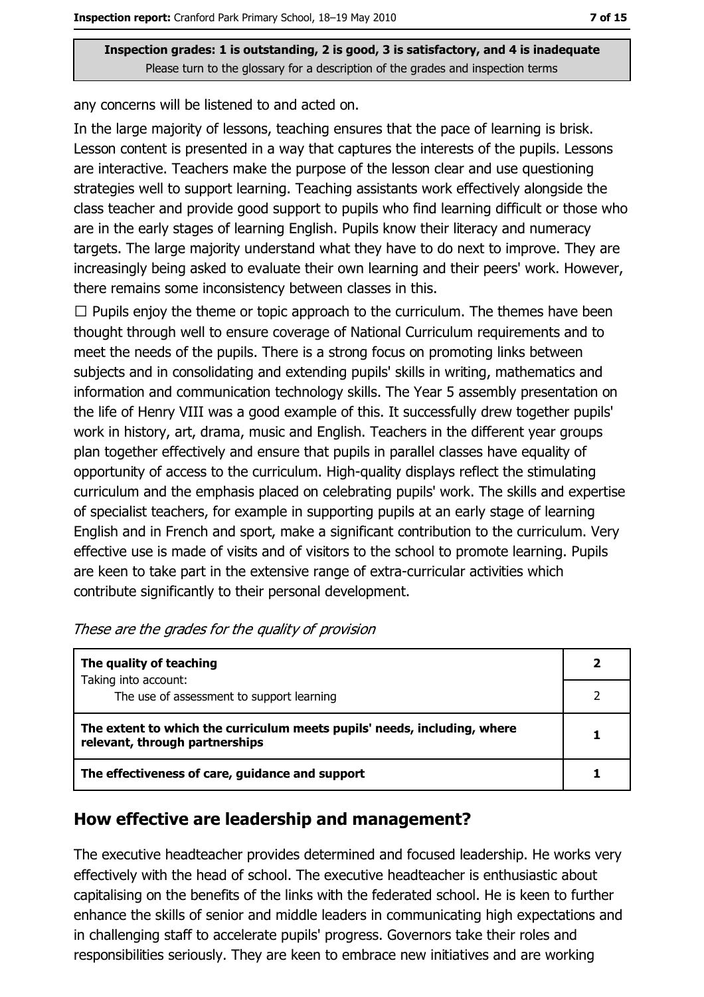any concerns will be listened to and acted on.

In the large majority of lessons, teaching ensures that the pace of learning is brisk. Lesson content is presented in a way that captures the interests of the pupils. Lessons are interactive. Teachers make the purpose of the lesson clear and use questioning strategies well to support learning. Teaching assistants work effectively alongside the class teacher and provide good support to pupils who find learning difficult or those who are in the early stages of learning English. Pupils know their literacy and numeracy targets. The large majority understand what they have to do next to improve. They are increasingly being asked to evaluate their own learning and their peers' work. However, there remains some inconsistency between classes in this.

 $\Box$  Pupils enjoy the theme or topic approach to the curriculum. The themes have been thought through well to ensure coverage of National Curriculum requirements and to meet the needs of the pupils. There is a strong focus on promoting links between subjects and in consolidating and extending pupils' skills in writing, mathematics and information and communication technology skills. The Year 5 assembly presentation on the life of Henry VIII was a good example of this. It successfully drew together pupils' work in history, art, drama, music and English. Teachers in the different year groups plan together effectively and ensure that pupils in parallel classes have equality of opportunity of access to the curriculum. High-quality displays reflect the stimulating curriculum and the emphasis placed on celebrating pupils' work. The skills and expertise of specialist teachers, for example in supporting pupils at an early stage of learning English and in French and sport, make a significant contribution to the curriculum. Very effective use is made of visits and of visitors to the school to promote learning. Pupils are keen to take part in the extensive range of extra-curricular activities which contribute significantly to their personal development.

| The quality of teaching                                                                                    |  |
|------------------------------------------------------------------------------------------------------------|--|
| Taking into account:<br>The use of assessment to support learning                                          |  |
| The extent to which the curriculum meets pupils' needs, including, where<br>relevant, through partnerships |  |
| The effectiveness of care, guidance and support                                                            |  |

These are the grades for the quality of provision

#### How effective are leadership and management?

The executive headteacher provides determined and focused leadership. He works very effectively with the head of school. The executive headteacher is enthusiastic about capitalising on the benefits of the links with the federated school. He is keen to further enhance the skills of senior and middle leaders in communicating high expectations and in challenging staff to accelerate pupils' progress. Governors take their roles and responsibilities seriously. They are keen to embrace new initiatives and are working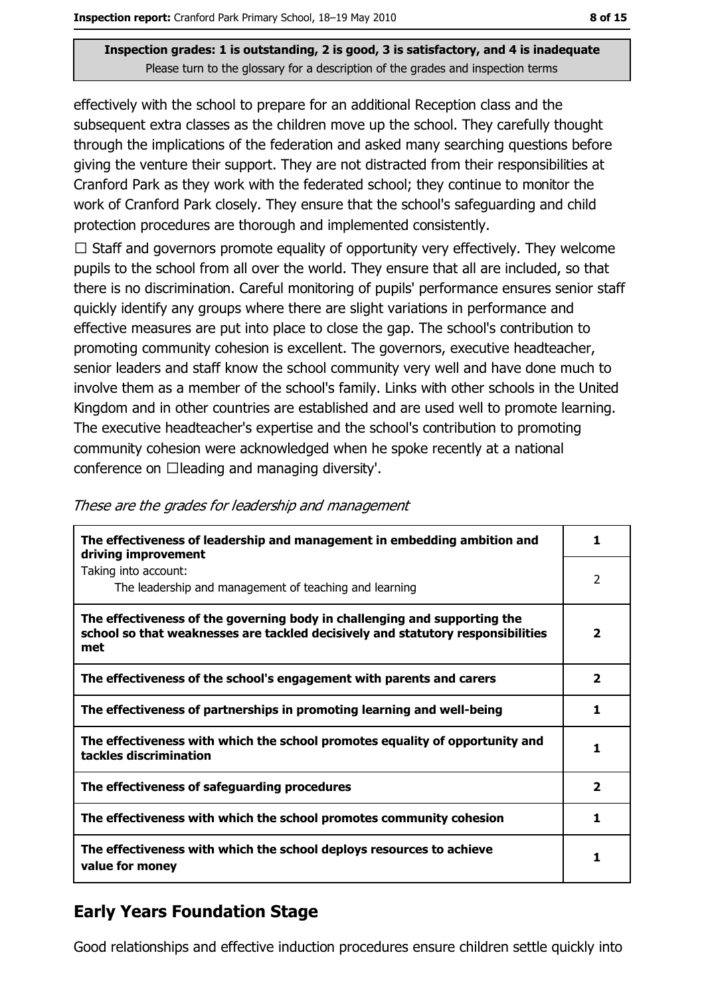effectively with the school to prepare for an additional Reception class and the subsequent extra classes as the children move up the school. They carefully thought through the implications of the federation and asked many searching questions before giving the venture their support. They are not distracted from their responsibilities at Cranford Park as they work with the federated school; they continue to monitor the work of Cranford Park closely. They ensure that the school's safeguarding and child protection procedures are thorough and implemented consistently.

 $\Box$  Staff and governors promote equality of opportunity very effectively. They welcome pupils to the school from all over the world. They ensure that all are included, so that there is no discrimination. Careful monitoring of pupils' performance ensures senior staff quickly identify any groups where there are slight variations in performance and effective measures are put into place to close the gap. The school's contribution to promoting community cohesion is excellent. The governors, executive headteacher, senior leaders and staff know the school community very well and have done much to involve them as a member of the school's family. Links with other schools in the United Kingdom and in other countries are established and are used well to promote learning. The executive headteacher's expertise and the school's contribution to promoting community cohesion were acknowledged when he spoke recently at a national conference on  $\Box$  leading and managing diversity'.

|  |  | These are the grades for leadership and management |
|--|--|----------------------------------------------------|
|  |  |                                                    |

| The effectiveness of leadership and management in embedding ambition and<br>driving improvement                                                                     |                         |
|---------------------------------------------------------------------------------------------------------------------------------------------------------------------|-------------------------|
| Taking into account:<br>The leadership and management of teaching and learning                                                                                      | 2                       |
| The effectiveness of the governing body in challenging and supporting the<br>school so that weaknesses are tackled decisively and statutory responsibilities<br>met | 2                       |
| The effectiveness of the school's engagement with parents and carers                                                                                                | $\overline{\mathbf{2}}$ |
| The effectiveness of partnerships in promoting learning and well-being                                                                                              |                         |
| The effectiveness with which the school promotes equality of opportunity and<br>tackles discrimination                                                              |                         |
| The effectiveness of safeguarding procedures                                                                                                                        | $\overline{\mathbf{2}}$ |
| The effectiveness with which the school promotes community cohesion                                                                                                 |                         |
| The effectiveness with which the school deploys resources to achieve<br>value for money                                                                             |                         |

# **Early Years Foundation Stage**

Good relationships and effective induction procedures ensure children settle quickly into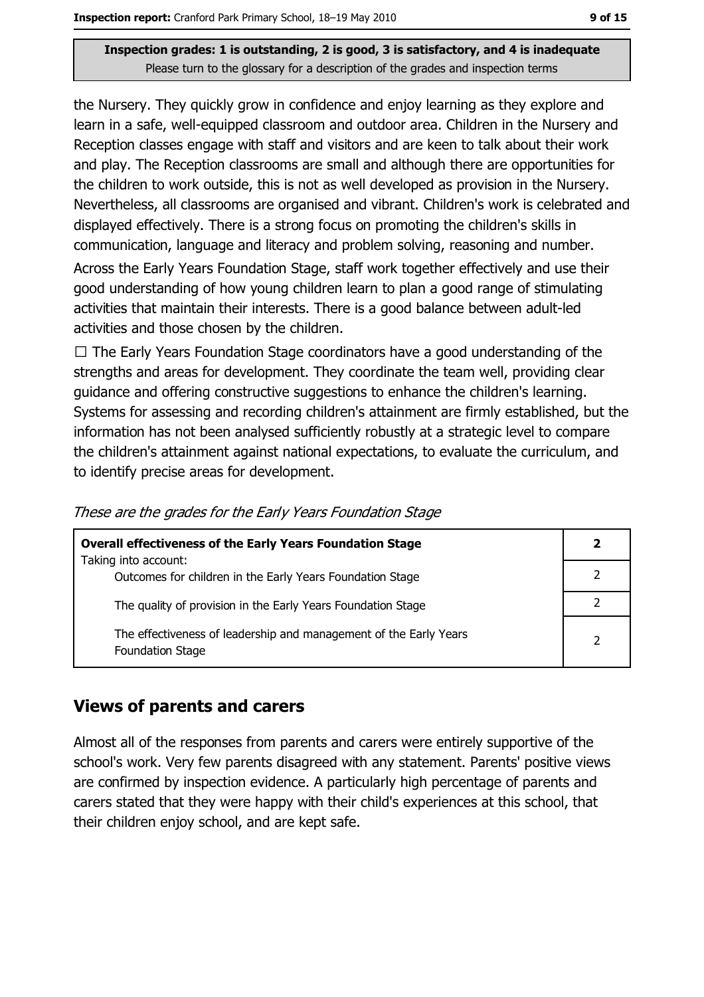the Nursery. They quickly grow in confidence and enjoy learning as they explore and learn in a safe, well-equipped classroom and outdoor area. Children in the Nursery and Reception classes engage with staff and visitors and are keen to talk about their work and play. The Reception classrooms are small and although there are opportunities for the children to work outside, this is not as well developed as provision in the Nursery. Nevertheless, all classrooms are organised and vibrant. Children's work is celebrated and displayed effectively. There is a strong focus on promoting the children's skills in communication, language and literacy and problem solving, reasoning and number. Across the Early Years Foundation Stage, staff work together effectively and use their good understanding of how young children learn to plan a good range of stimulating activities that maintain their interests. There is a good balance between adult-led activities and those chosen by the children.

 $\Box$  The Early Years Foundation Stage coordinators have a good understanding of the strengths and areas for development. They coordinate the team well, providing clear guidance and offering constructive suggestions to enhance the children's learning. Systems for assessing and recording children's attainment are firmly established, but the information has not been analysed sufficiently robustly at a strategic level to compare the children's attainment against national expectations, to evaluate the curriculum, and to identify precise areas for development.

| <b>Overall effectiveness of the Early Years Foundation Stage</b>                             | 2              |
|----------------------------------------------------------------------------------------------|----------------|
| Taking into account:                                                                         |                |
| Outcomes for children in the Early Years Foundation Stage                                    |                |
| The quality of provision in the Early Years Foundation Stage                                 |                |
| The effectiveness of leadership and management of the Early Years<br><b>Foundation Stage</b> | $\overline{2}$ |

These are the grades for the Early Years Foundation Stage

# **Views of parents and carers**

Almost all of the responses from parents and carers were entirely supportive of the school's work. Very few parents disagreed with any statement. Parents' positive views are confirmed by inspection evidence. A particularly high percentage of parents and carers stated that they were happy with their child's experiences at this school, that their children enjoy school, and are kept safe.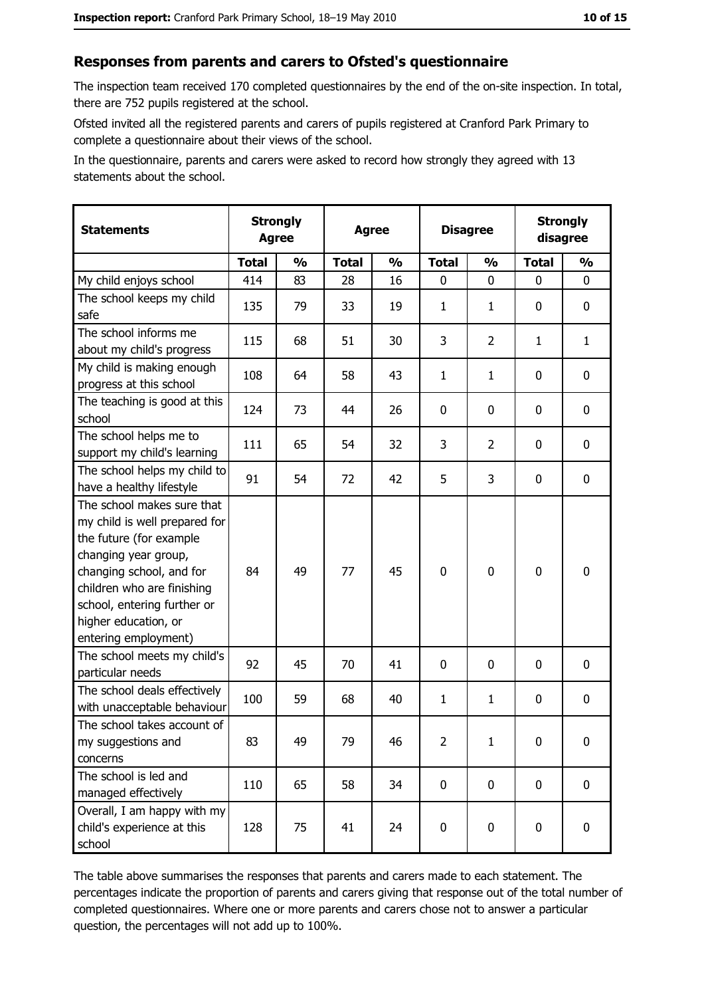#### Responses from parents and carers to Ofsted's questionnaire

The inspection team received 170 completed questionnaires by the end of the on-site inspection. In total, there are 752 pupils registered at the school.

Ofsted invited all the registered parents and carers of pupils registered at Cranford Park Primary to complete a questionnaire about their views of the school.

In the questionnaire, parents and carers were asked to record how strongly they agreed with 13 statements about the school.

| <b>Statements</b>                                                                                                                                                                                                                                       | <b>Strongly</b><br><b>Agree</b> |               | <b>Disagree</b><br><b>Agree</b> |               | <b>Strongly</b><br>disagree |                |              |               |  |
|---------------------------------------------------------------------------------------------------------------------------------------------------------------------------------------------------------------------------------------------------------|---------------------------------|---------------|---------------------------------|---------------|-----------------------------|----------------|--------------|---------------|--|
|                                                                                                                                                                                                                                                         | <b>Total</b>                    | $\frac{1}{2}$ | <b>Total</b>                    | $\frac{0}{0}$ | <b>Total</b>                | $\frac{0}{0}$  | <b>Total</b> | $\frac{1}{2}$ |  |
| My child enjoys school                                                                                                                                                                                                                                  | 414                             | 83            | 28                              | 16            | $\mathbf 0$                 | 0              | 0            | 0             |  |
| The school keeps my child<br>safe                                                                                                                                                                                                                       | 135                             | 79            | 33                              | 19            | 1                           | $\mathbf{1}$   | 0            | 0             |  |
| The school informs me<br>about my child's progress                                                                                                                                                                                                      | 115                             | 68            | 51                              | 30            | 3                           | $\overline{2}$ | 1            | $\mathbf{1}$  |  |
| My child is making enough<br>progress at this school                                                                                                                                                                                                    | 108                             | 64            | 58                              | 43            | $\mathbf{1}$                | 1              | 0            | 0             |  |
| The teaching is good at this<br>school                                                                                                                                                                                                                  | 124                             | 73            | 44                              | 26            | 0                           | 0              | 0            | 0             |  |
| The school helps me to<br>support my child's learning                                                                                                                                                                                                   | 111                             | 65            | 54                              | 32            | 3                           | $\overline{2}$ | 0            | $\mathbf 0$   |  |
| The school helps my child to<br>have a healthy lifestyle                                                                                                                                                                                                | 91                              | 54            | 72                              | 42            | 5                           | 3              | 0            | $\mathbf 0$   |  |
| The school makes sure that<br>my child is well prepared for<br>the future (for example<br>changing year group,<br>changing school, and for<br>children who are finishing<br>school, entering further or<br>higher education, or<br>entering employment) | 84                              | 49            | 77                              | 45            | $\mathbf 0$                 | 0              | $\mathbf 0$  | $\bf{0}$      |  |
| The school meets my child's<br>particular needs                                                                                                                                                                                                         | 92                              | 45            | 70                              | 41            | $\mathbf 0$                 | 0              | $\Omega$     | $\bf{0}$      |  |
| The school deals effectively<br>with unacceptable behaviour                                                                                                                                                                                             | 100                             | 59            | 68                              | 40            | $\mathbf{1}$                | $\mathbf{1}$   | $\mathbf 0$  | $\mathbf 0$   |  |
| The school takes account of<br>my suggestions and<br>concerns                                                                                                                                                                                           | 83                              | 49            | 79                              | 46            | $\overline{2}$              | $\mathbf 1$    | 0            | $\bf{0}$      |  |
| The school is led and<br>managed effectively                                                                                                                                                                                                            | 110                             | 65            | 58                              | 34            | $\mathbf 0$                 | $\mathbf 0$    | $\mathbf 0$  | $\mathbf 0$   |  |
| Overall, I am happy with my<br>child's experience at this<br>school                                                                                                                                                                                     | 128                             | 75            | 41                              | 24            | $\pmb{0}$                   | 0              | 0            | $\mathbf 0$   |  |

The table above summarises the responses that parents and carers made to each statement. The percentages indicate the proportion of parents and carers giving that response out of the total number of completed questionnaires. Where one or more parents and carers chose not to answer a particular question, the percentages will not add up to 100%.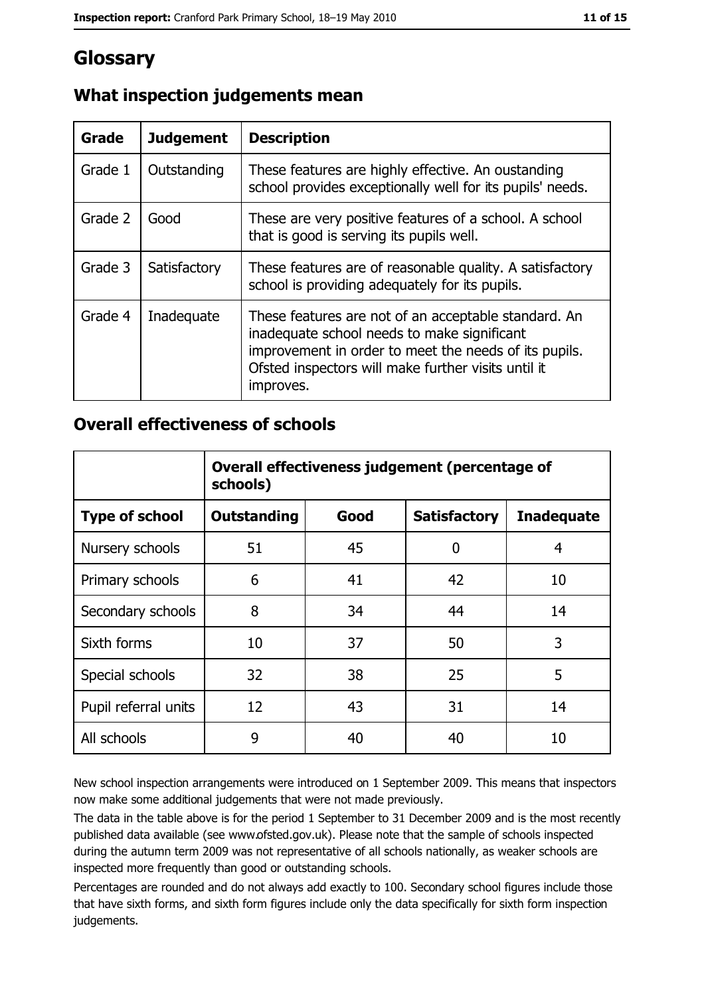# Glossary

| Grade   | <b>Judgement</b> | <b>Description</b>                                                                                                                                                                                                               |
|---------|------------------|----------------------------------------------------------------------------------------------------------------------------------------------------------------------------------------------------------------------------------|
| Grade 1 | Outstanding      | These features are highly effective. An oustanding<br>school provides exceptionally well for its pupils' needs.                                                                                                                  |
| Grade 2 | Good             | These are very positive features of a school. A school<br>that is good is serving its pupils well.                                                                                                                               |
| Grade 3 | Satisfactory     | These features are of reasonable quality. A satisfactory<br>school is providing adequately for its pupils.                                                                                                                       |
| Grade 4 | Inadequate       | These features are not of an acceptable standard. An<br>inadequate school needs to make significant<br>improvement in order to meet the needs of its pupils.<br>Ofsted inspectors will make further visits until it<br>improves. |

# What inspection judgements mean

## **Overall effectiveness of schools**

|                       | Overall effectiveness judgement (percentage of<br>schools) |      |                     |                   |  |
|-----------------------|------------------------------------------------------------|------|---------------------|-------------------|--|
| <b>Type of school</b> | <b>Outstanding</b>                                         | Good | <b>Satisfactory</b> | <b>Inadequate</b> |  |
| Nursery schools       | 51                                                         | 45   | 0                   | 4                 |  |
| Primary schools       | 6                                                          | 41   | 42                  | 10                |  |
| Secondary schools     | 8                                                          | 34   | 44                  | 14                |  |
| Sixth forms           | 10                                                         | 37   | 50                  | 3                 |  |
| Special schools       | 32                                                         | 38   | 25                  | 5                 |  |
| Pupil referral units  | 12                                                         | 43   | 31                  | 14                |  |
| All schools           | 9                                                          | 40   | 40                  | 10                |  |

New school inspection arrangements were introduced on 1 September 2009. This means that inspectors now make some additional judgements that were not made previously.

The data in the table above is for the period 1 September to 31 December 2009 and is the most recently published data available (see www.ofsted.gov.uk). Please note that the sample of schools inspected during the autumn term 2009 was not representative of all schools nationally, as weaker schools are inspected more frequently than good or outstanding schools.

Percentages are rounded and do not always add exactly to 100. Secondary school figures include those that have sixth forms, and sixth form figures include only the data specifically for sixth form inspection judgements.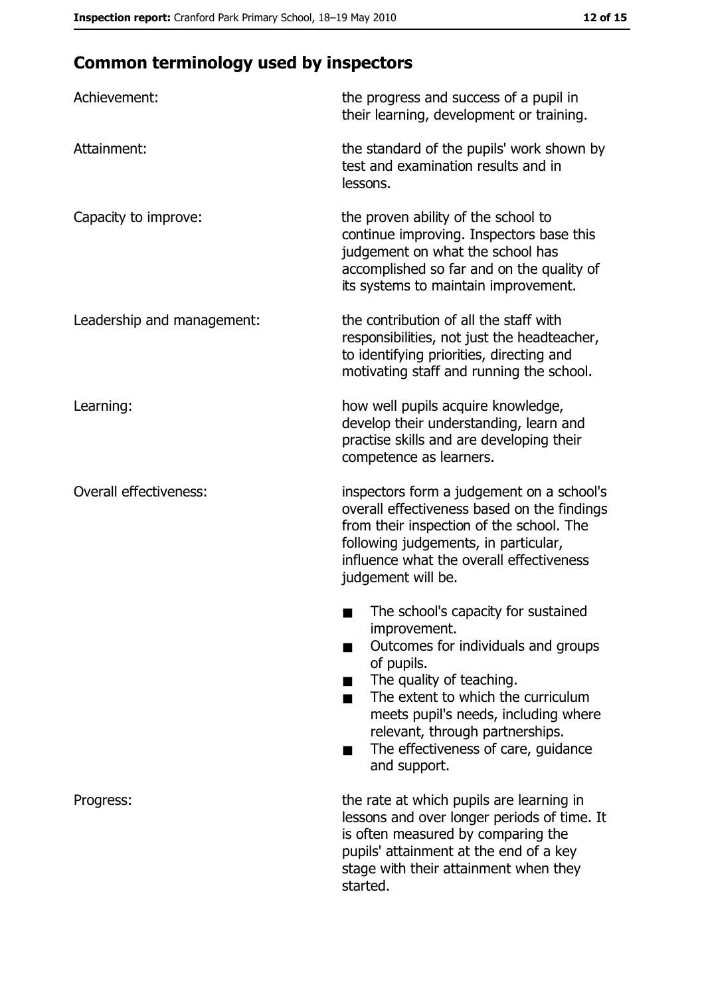# **Common terminology used by inspectors**

| Achievement:                  | the progress and success of a pupil in<br>their learning, development or training.                                                                                                                                                                                                                           |
|-------------------------------|--------------------------------------------------------------------------------------------------------------------------------------------------------------------------------------------------------------------------------------------------------------------------------------------------------------|
| Attainment:                   | the standard of the pupils' work shown by<br>test and examination results and in<br>lessons.                                                                                                                                                                                                                 |
| Capacity to improve:          | the proven ability of the school to<br>continue improving. Inspectors base this<br>judgement on what the school has<br>accomplished so far and on the quality of<br>its systems to maintain improvement.                                                                                                     |
| Leadership and management:    | the contribution of all the staff with<br>responsibilities, not just the headteacher,<br>to identifying priorities, directing and<br>motivating staff and running the school.                                                                                                                                |
| Learning:                     | how well pupils acquire knowledge,<br>develop their understanding, learn and<br>practise skills and are developing their<br>competence as learners.                                                                                                                                                          |
| <b>Overall effectiveness:</b> | inspectors form a judgement on a school's<br>overall effectiveness based on the findings<br>from their inspection of the school. The<br>following judgements, in particular,<br>influence what the overall effectiveness<br>judgement will be.                                                               |
|                               | The school's capacity for sustained<br>improvement.<br>Outcomes for individuals and groups<br>of pupils.<br>The quality of teaching.<br>The extent to which the curriculum<br>meets pupil's needs, including where<br>relevant, through partnerships.<br>The effectiveness of care, guidance<br>and support. |
| Progress:                     | the rate at which pupils are learning in<br>lessons and over longer periods of time. It<br>is often measured by comparing the<br>pupils' attainment at the end of a key<br>stage with their attainment when they<br>started.                                                                                 |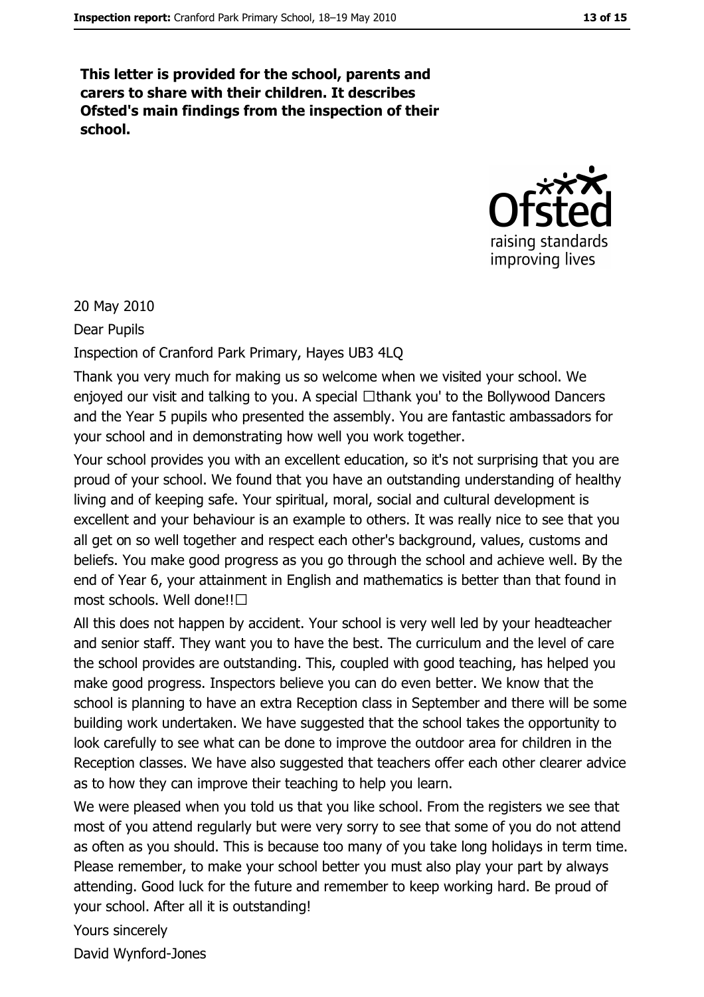This letter is provided for the school, parents and carers to share with their children. It describes Ofsted's main findings from the inspection of their school.



20 May 2010

Dear Pupils

Inspection of Cranford Park Primary, Hayes UB3 4LQ

Thank you very much for making us so welcome when we visited your school. We enjoyed our visit and talking to you. A special □thank you' to the Bollywood Dancers and the Year 5 pupils who presented the assembly. You are fantastic ambassadors for your school and in demonstrating how well you work together.

Your school provides you with an excellent education, so it's not surprising that you are proud of your school. We found that you have an outstanding understanding of healthy living and of keeping safe. Your spiritual, moral, social and cultural development is excellent and your behaviour is an example to others. It was really nice to see that you all get on so well together and respect each other's background, values, customs and beliefs. You make good progress as you go through the school and achieve well. By the end of Year 6, your attainment in English and mathematics is better than that found in most schools. Well done!! $\square$ 

All this does not happen by accident. Your school is very well led by your headteacher and senior staff. They want you to have the best. The curriculum and the level of care the school provides are outstanding. This, coupled with good teaching, has helped you make good progress. Inspectors believe you can do even better. We know that the school is planning to have an extra Reception class in September and there will be some building work undertaken. We have suggested that the school takes the opportunity to look carefully to see what can be done to improve the outdoor area for children in the Reception classes. We have also suggested that teachers offer each other clearer advice as to how they can improve their teaching to help you learn.

We were pleased when you told us that you like school. From the registers we see that most of you attend regularly but were very sorry to see that some of you do not attend as often as you should. This is because too many of you take long holidays in term time. Please remember, to make your school better you must also play your part by always attending. Good luck for the future and remember to keep working hard. Be proud of your school. After all it is outstanding!

Yours sincerely

David Wynford-Jones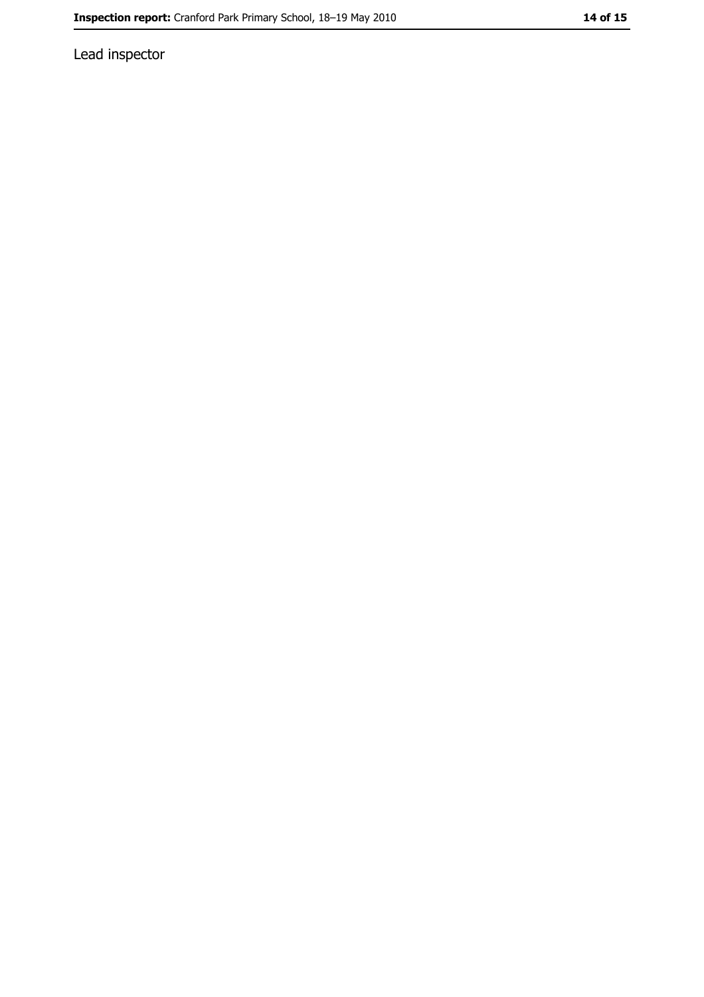Lead inspector